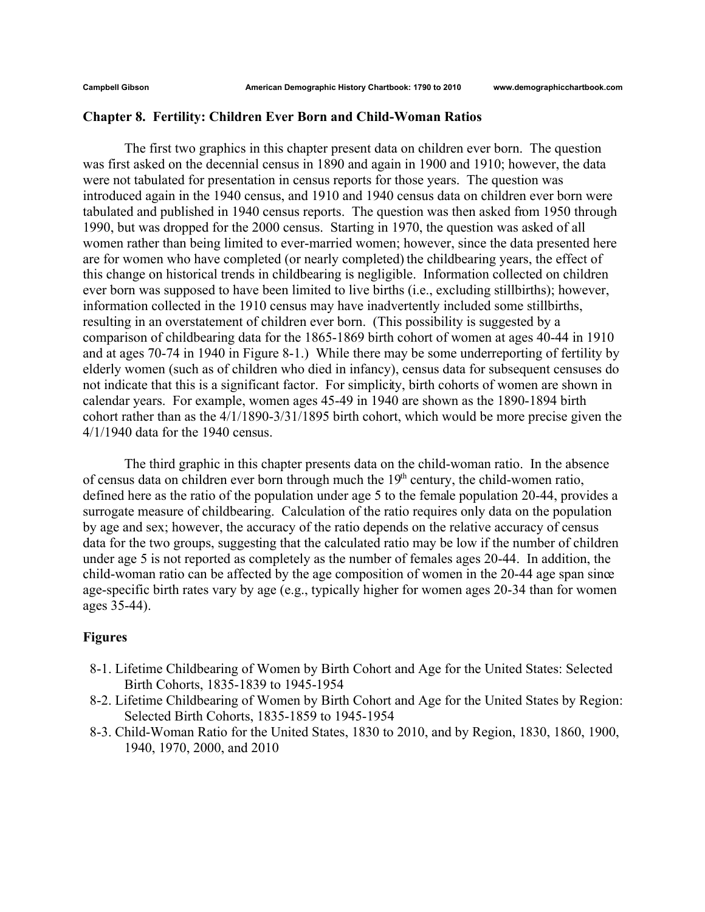## **Chapter 8. Fertility: Children Ever Born and Child-Woman Ratios**

The first two graphics in this chapter present data on children ever born. The question was first asked on the decennial census in 1890 and again in 1900 and 1910; however, the data were not tabulated for presentation in census reports for those years. The question was introduced again in the 1940 census, and 1910 and 1940 census data on children ever born were tabulated and published in 1940 census reports. The question was then asked from 1950 through 1990, but was dropped for the 2000 census. Starting in 1970, the question was asked of all women rather than being limited to ever-married women; however, since the data presented here are for women who have completed (or nearly completed) the childbearing years, the effect of this change on historical trends in childbearing is negligible. Information collected on children ever born was supposed to have been limited to live births (i.e., excluding stillbirths); however, information collected in the 1910 census may have inadvertently included some stillbirths, resulting in an overstatement of children ever born. (This possibility is suggested by a comparison of childbearing data for the 1865-1869 birth cohort of women at ages 40-44 in 1910 and at ages 70-74 in 1940 in Figure 8-1.) While there may be some underreporting of fertility by elderly women (such as of children who died in infancy), census data for subsequent censuses do not indicate that this is a significant factor. For simplicity, birth cohorts of women are shown in calendar years. For example, women ages 45-49 in 1940 are shown as the 1890-1894 birth cohort rather than as the 4/1/1890-3/31/1895 birth cohort, which would be more precise given the 4/1/1940 data for the 1940 census.

The third graphic in this chapter presents data on the child-woman ratio. In the absence of census data on children ever born through much the  $19<sup>th</sup>$  century, the child-women ratio, defined here as the ratio of the population under age 5 to the female population 20-44, provides a surrogate measure of childbearing. Calculation of the ratio requires only data on the population by age and sex; however, the accuracy of the ratio depends on the relative accuracy of census data for the two groups, suggesting that the calculated ratio may be low if the number of children under age 5 is not reported as completely as the number of females ages 20-44. In addition, the child-woman ratio can be affected by the age composition of women in the 20-44 age span since age-specific birth rates vary by age (e.g., typically higher for women ages 20-34 than for women ages 35-44).

# **Figures**

- 8-1. Lifetime Childbearing of Women by Birth Cohort and Age for the United States: Selected Birth Cohorts, 1835-1839 to 1945-1954
- 8-2. Lifetime Childbearing of Women by Birth Cohort and Age for the United States by Region: Selected Birth Cohorts, 1835-1859 to 1945-1954
- 8-3. Child-Woman Ratio for the United States, 1830 to 2010, and by Region, 1830, 1860, 1900, 1940, 1970, 2000, and 2010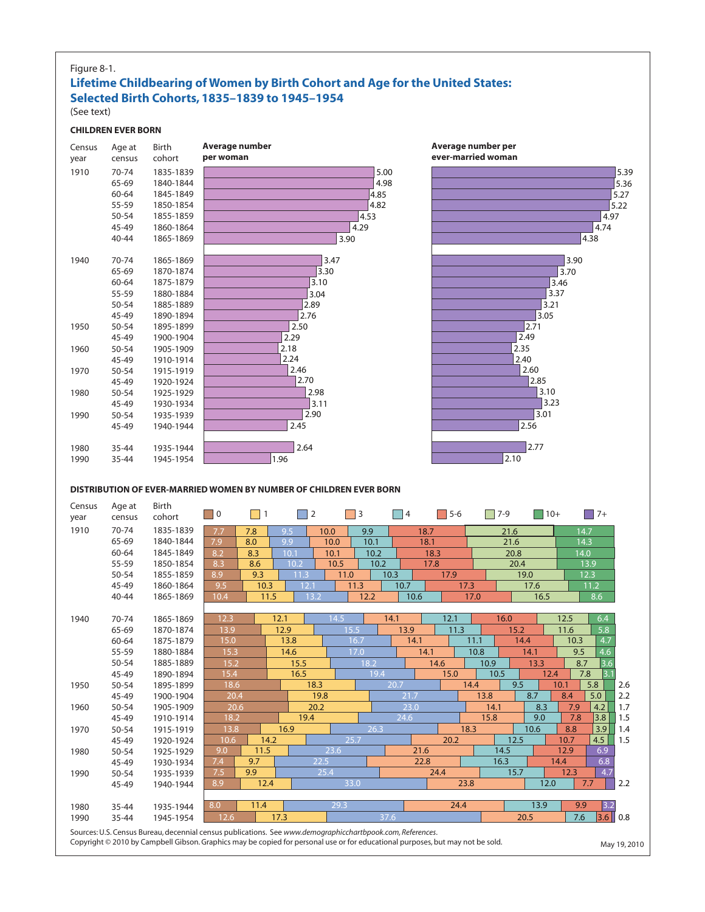#### Figure 8-1.

## **Lifetime Childbearing of Women by Birth Cohort and Age for the United States: Selected Birth Cohorts, 1835–1839 to 1945–1954** (See text)



Copyright © 2010 by Campbell Gibson. Graphics may be copied for personal use or for educational purposes, but may not be sold. May 19, 2010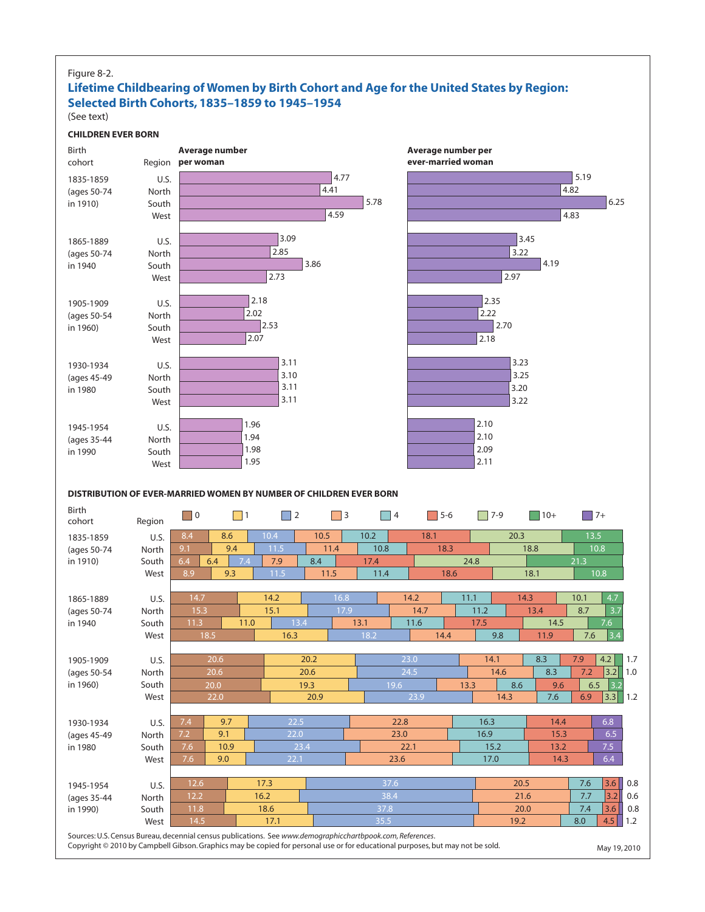#### Figure 8-2.

# **Lifetime Childbearing of Women by Birth Cohort and Age for the United States by Region: Selected Birth Cohorts, 1835–1859 to 1945–1954**

(See text)

#### **CHILDREN EVER BORN**



Copyright © 2010 by Campbell Gibson. Graphics may be copied for personal use or for educational purposes, but may not be sold. May 19, 2010